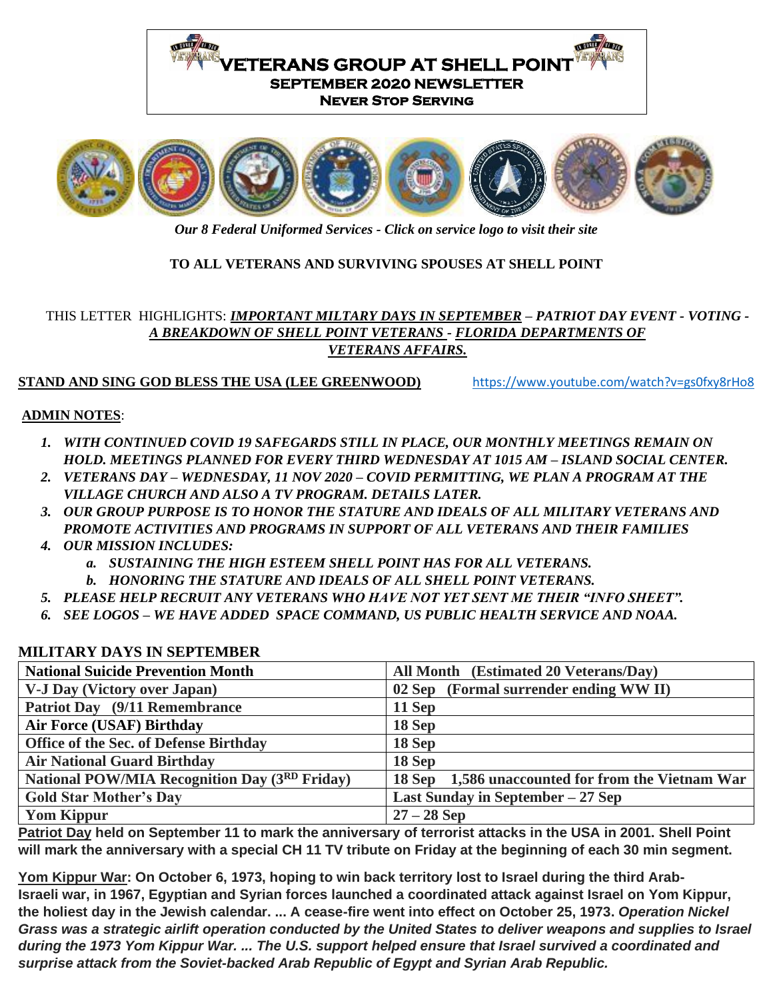



*Our 8 Federal Uniformed Services - Click on service logo to visit their site*

# **TO ALL VETERANS AND SURVIVING SPOUSES AT SHELL POINT**

# THIS LETTER HIGHLIGHTS: *IMPORTANT MILTARY DAYS IN SEPTEMBER – PATRIOT DAY EVENT - VOTING - A BREAKDOWN OF SHELL POINT VETERANS - FLORIDA DEPARTMENTS OF VETERANS AFFAIRS.*

# **STAND AND SING GOD BLESS THE USA (LEE GREENWOOD)** <https://www.youtube.com/watch?v=gs0fxy8rHo8>

#### **ADMIN NOTES**:

- *1. WITH CONTINUED COVID 19 SAFEGARDS STILL IN PLACE, OUR MONTHLY MEETINGS REMAIN ON HOLD. MEETINGS PLANNED FOR EVERY THIRD WEDNESDAY AT 1015 AM – ISLAND SOCIAL CENTER.*
- *2. VETERANS DAY – WEDNESDAY, 11 NOV 2020 – COVID PERMITTING, WE PLAN A PROGRAM AT THE VILLAGE CHURCH AND ALSO A TV PROGRAM. DETAILS LATER.*
- *3. OUR GROUP PURPOSE IS TO HONOR THE STATURE AND IDEALS OF ALL MILITARY VETERANS AND PROMOTE ACTIVITIES AND PROGRAMS IN SUPPORT OF ALL VETERANS AND THEIR FAMILIES*
- *4. OUR MISSION INCLUDES:* 
	- *a. SUSTAINING THE HIGH ESTEEM SHELL POINT HAS FOR ALL VETERANS.*
	- *b. HONORING THE STATURE AND IDEALS OF ALL SHELL POINT VETERANS.*
- *5. PLEASE HELP RECRUIT ANY VETERANS WHO HAVE NOT YET SENT ME THEIR "INFO SHEET".*
- *6. SEE LOGOS – WE HAVE ADDED SPACE COMMAND, US PUBLIC HEALTH SERVICE AND NOAA.*

| <b>National Suicide Prevention Month</b>             | All Month (Estimated 20 Veterans/Day)                |
|------------------------------------------------------|------------------------------------------------------|
| <b>V-J Day (Victory over Japan)</b>                  | 02 Sep (Formal surrender ending WW II)               |
| Patriot Day (9/11 Remembrance)                       | 11 Sep                                               |
| <b>Air Force (USAF) Birthday</b>                     | 18 Sep                                               |
| Office of the Sec. of Defense Birthday               | 18 Sep                                               |
| <b>Air National Guard Birthday</b>                   | 18 Sep                                               |
| <b>National POW/MIA Recognition Day (3RD Friday)</b> | 1,586 unaccounted for from the Vietnam War<br>18 Sep |
| <b>Gold Star Mother's Day</b>                        | Last Sunday in September $-27$ Sep                   |
| <b>Yom Kippur</b>                                    | $27 - 28$ Sep                                        |

#### **MILITARY DAYS IN SEPTEMBER**

**Patriot Day held on September 11 to mark the anniversary of terrorist attacks in the USA in 2001. Shell Point will mark the anniversary with a special CH 11 TV tribute on Friday at the beginning of each 30 min segment.**

**Yom Kippur War: On October 6, 1973, hoping to win back territory lost to Israel during the third Arab-Israeli war, in 1967, Egyptian and Syrian forces launched a coordinated attack against Israel on Yom Kippur, the holiest day in the Jewish calendar. ... A cease-fire went into effect on October 25, 1973.** *Operation Nickel*  Grass was a strategic airlift operation conducted by the United States to deliver weapons and supplies to Israel *during the 1973 Yom Kippur War. ... The U.S. support helped ensure that Israel survived a coordinated and surprise attack from the Soviet-backed Arab Republic of Egypt and Syrian Arab Republic.*